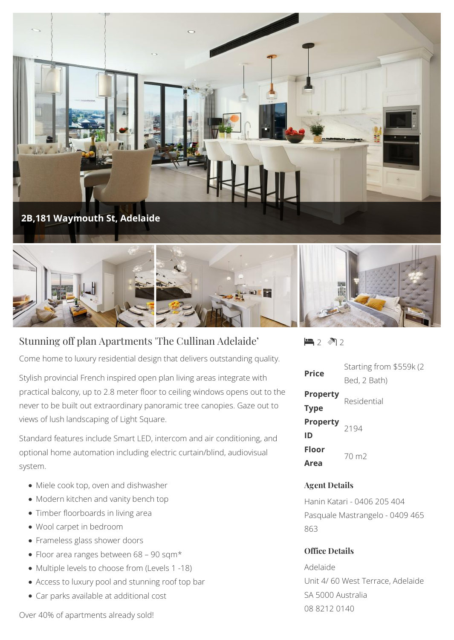



## Stunning off plan Apartments 'The Cullinan Adelaide'

Come home to luxury residential design that delivers outstanding quality.

Stylish provincial French inspired open plan living areas integrate with practical balcony, up to 2.8 meter floor to ceiling windows opens out to the never to be built out extraordinary panoramic tree canopies. Gaze out to views of lush landscaping of Light Square.

Standard features include Smart LED, intercom and air conditioning, and optional home automation including electric curtain/blind, audiovisual system.

- Miele cook top, oven and dishwasher
- Modern kitchen and vanity bench top
- Timber floorboards in living area
- Wool carpet in bedroom
- Frameless glass shower doors
- Floor area ranges between 68 90 sqm\*
- Multiple levels to choose from (Levels 1 -18)
- Access to luxury pool and stunning roof top bar
- Car parks available at additional cost

Over 40% of apartments already sold!

 $2 \sqrt{2}$ 

| Price                          | Starting from \$559k (2)<br>Bed, 2 Bath) |
|--------------------------------|------------------------------------------|
| <b>Property</b><br><b>Type</b> | Residential                              |
| <b>Property</b><br>2194<br>ID  |                                          |
| Floor<br>Area                  | 70 m <sub>2</sub>                        |

## **Agent Details**

Hanin Katari - 0406 205 404 Pasquale Mastrangelo - 0409 465 863

## **Office Details**

Adelaide Unit 4/ 60 West Terrace, Adelaide SA 5000 Australia 08 8212 0140